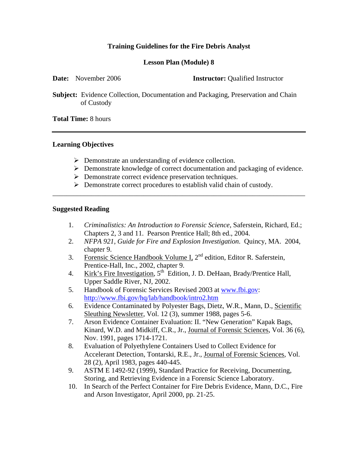# **Training Guidelines for the Fire Debris Analyst**

# **Lesson Plan (Module) 8**

|  | <b>Date:</b> November 2006 | <b>Instructor:</b> Qualified Instructor |
|--|----------------------------|-----------------------------------------|
|--|----------------------------|-----------------------------------------|

**Subject:** Evidence Collection, Documentation and Packaging, Preservation and Chain of Custody

**Total Time:** 8 hours

## **Learning Objectives**

- $\triangleright$  Demonstrate an understanding of evidence collection.
- ¾ Demonstrate knowledge of correct documentation and packaging of evidence.
- ¾ Demonstrate correct evidence preservation techniques.
- $\triangleright$  Demonstrate correct procedures to establish valid chain of custody.

\_\_\_\_\_\_\_\_\_\_\_\_\_\_\_\_\_\_\_\_\_\_\_\_\_\_\_\_\_\_\_\_\_\_\_\_\_\_\_\_\_\_\_\_\_\_\_\_\_\_\_\_\_\_\_\_\_\_\_\_\_\_\_\_\_\_\_\_\_\_\_\_

## **Suggested Reading**

- 1. *Criminalistics: An Introduction to Forensic Science*, Saferstein, Richard, Ed.; Chapters 2, 3 and 11. Pearson Prentice Hall; 8th ed., 2004.
- 2. *NFPA 921, Guide for Fire and Explosion Investigation*. Quincy, MA. 2004, chapter 9.
- 3. Forensic Science Handbook Volume I,  $2<sup>nd</sup>$  edition, Editor R. Saferstein, Prentice-Hall, Inc., 2002, chapter 9.
- 4. Kirk's Fire Investigation, 5<sup>th</sup> Edition, J. D. DeHaan, Brady/Prentice Hall, Upper Saddle River, NJ, 2002.
- 5. Handbook of Forensic Services Revised 2003 at www.fbi.gov: http://www.fbi.gov/hq/lab/handbook/intro2.htm
- 6. Evidence Contaminated by Polyester Bags, Dietz, W.R., Mann, D., Scientific Sleuthing Newsletter, Vol. 12 (3), summer 1988, pages 5-6.
- 7. Arson Evidence Container Evaluation: II. "New Generation" Kapak Bags, Kinard, W.D. and Midkiff, C.R., Jr., Journal of Forensic Sciences, Vol. 36 (6), Nov. 1991, pages 1714-1721.
- 8. Evaluation of Polyethylene Containers Used to Collect Evidence for Accelerant Detection, Tontarski, R.E., Jr., Journal of Forensic Sciences, Vol. 28 (2), April 1983, pages 440-445.
- 9. ASTM E 1492-92 (1999), Standard Practice for Receiving, Documenting, Storing, and Retrieving Evidence in a Forensic Science Laboratory.
- 10. In Search of the Perfect Container for Fire Debris Evidence, Mann, D.C., Fire and Arson Investigator, April 2000, pp. 21-25.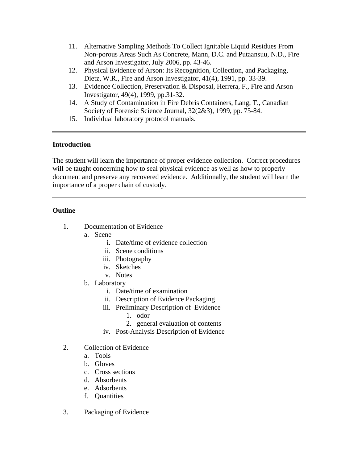- 11. Alternative Sampling Methods To Collect Ignitable Liquid Residues From Non-porous Areas Such As Concrete, Mann, D.C. and Putaansuu, N.D., Fire and Arson Investigator, July 2006, pp. 43-46.
- 12. Physical Evidence of Arson: Its Recognition, Collection, and Packaging, Dietz, W.R., Fire and Arson Investigator, 41(4), 1991, pp. 33-39.
- 13. Evidence Collection, Preservation & Disposal, Herrera, F., Fire and Arson Investigator, 49(4), 1999, pp.31-32.
- 14. A Study of Contamination in Fire Debris Containers, Lang, T., Canadian Society of Forensic Science Journal, 32(2&3), 1999, pp. 75-84.
- 15. Individual laboratory protocol manuals.

## **Introduction**

The student will learn the importance of proper evidence collection. Correct procedures will be taught concerning how to seal physical evidence as well as how to properly document and preserve any recovered evidence. Additionally, the student will learn the importance of a proper chain of custody.

#### **Outline**

- 1. Documentation of Evidence
	- a. Scene
		- i. Date/time of evidence collection
		- ii. Scene conditions
		- iii. Photography
		- iv. Sketches
		- v. Notes
	- b. Laboratory
		- i. Date/time of examination
		- ii. Description of Evidence Packaging
		- iii. Preliminary Description of Evidence
			- 1. odor
			- 2. general evaluation of contents
		- iv. Post-Analysis Description of Evidence
- 2. Collection of Evidence
	- a. Tools
	- b. Gloves
	- c. Cross sections
	- d. Absorbents
	- e. Adsorbents
	- f. Quantities
- 3. Packaging of Evidence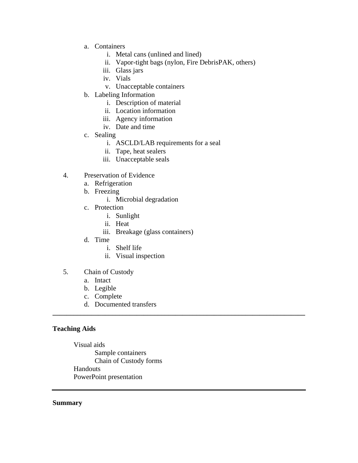- a. Containers
	- i. Metal cans (unlined and lined)
	- ii. Vapor-tight bags (nylon, Fire DebrisPAK, others)
	- iii. Glass jars
	- iv. Vials
	- v. Unacceptable containers
- b. Labeling Information
	- i. Description of material
	- ii. Location information
	- iii. Agency information
	- iv. Date and time
- c. Sealing
	- i. ASCLD/LAB requirements for a seal
	- ii. Tape, heat sealers
	- iii. Unacceptable seals
- 4. Preservation of Evidence
	- a. Refrigeration
	- b. Freezing
		- i. Microbial degradation
	- c. Protection
		- i. Sunlight
		- ii. Heat
		- iii. Breakage (glass containers)

**\_\_\_\_\_\_\_\_\_\_\_\_\_\_\_\_\_\_\_\_\_\_\_\_\_\_\_\_\_\_\_\_\_\_\_\_\_\_\_\_\_\_\_\_\_\_\_\_\_\_\_\_\_\_\_\_\_\_\_\_\_\_\_\_\_\_\_\_\_\_\_\_** 

- d. Time
	- i. Shelf life
	- ii. Visual inspection
- 5. Chain of Custody
	- a. Intact
	- b. Legible
	- c. Complete
	- d. Documented transfers

#### **Teaching Aids**

 Visual aids Sample containers Chain of Custody forms Handouts PowerPoint presentation

#### **Summary**